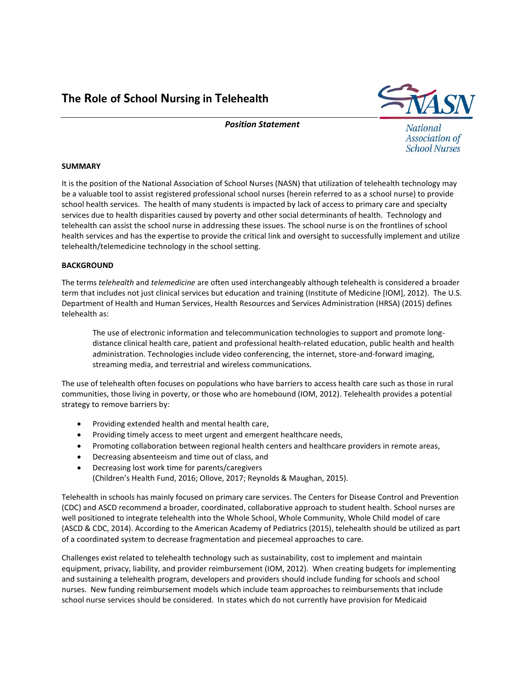The Role of School Nursing in Telehealth



Position Statement

National Association of **School Nurses** 

# SUMMARY

It is the position of the National Association of School Nurses (NASN) that utilization of telehealth technology may be a valuable tool to assist registered professional school nurses (herein referred to as a school nurse) to provide school health services. The health of many students is impacted by lack of access to primary care and specialty services due to health disparities caused by poverty and other social determinants of health. Technology and telehealth can assist the school nurse in addressing these issues. The school nurse is on the frontlines of school health services and has the expertise to provide the critical link and oversight to successfully implement and utilize telehealth/telemedicine technology in the school setting.

# **BACKGROUND**

The terms telehealth and telemedicine are often used interchangeably although telehealth is considered a broader term that includes not just clinical services but education and training (Institute of Medicine [IOM], 2012). The U.S. Department of Health and Human Services, Health Resources and Services Administration (HRSA) (2015) defines telehealth as:

The use of electronic information and telecommunication technologies to support and promote longdistance clinical health care, patient and professional health-related education, public health and health administration. Technologies include video conferencing, the internet, store-and-forward imaging, streaming media, and terrestrial and wireless communications.

The use of telehealth often focuses on populations who have barriers to access health care such as those in rural communities, those living in poverty, or those who are homebound (IOM, 2012). Telehealth provides a potential strategy to remove barriers by:

- Providing extended health and mental health care,
- Providing timely access to meet urgent and emergent healthcare needs,
- Promoting collaboration between regional health centers and healthcare providers in remote areas,
- Decreasing absenteeism and time out of class, and
- Decreasing lost work time for parents/caregivers (Children's Health Fund, 2016; Ollove, 2017; Reynolds & Maughan, 2015).

Telehealth in schools has mainly focused on primary care services. The Centers for Disease Control and Prevention (CDC) and ASCD recommend a broader, coordinated, collaborative approach to student health. School nurses are well positioned to integrate telehealth into the Whole School, Whole Community, Whole Child model of care (ASCD & CDC, 2014). According to the American Academy of Pediatrics (2015), telehealth should be utilized as part of a coordinated system to decrease fragmentation and piecemeal approaches to care.

Challenges exist related to telehealth technology such as sustainability, cost to implement and maintain equipment, privacy, liability, and provider reimbursement (IOM, 2012). When creating budgets for implementing and sustaining a telehealth program, developers and providers should include funding for schools and school nurses. New funding reimbursement models which include team approaches to reimbursements that include school nurse services should be considered. In states which do not currently have provision for Medicaid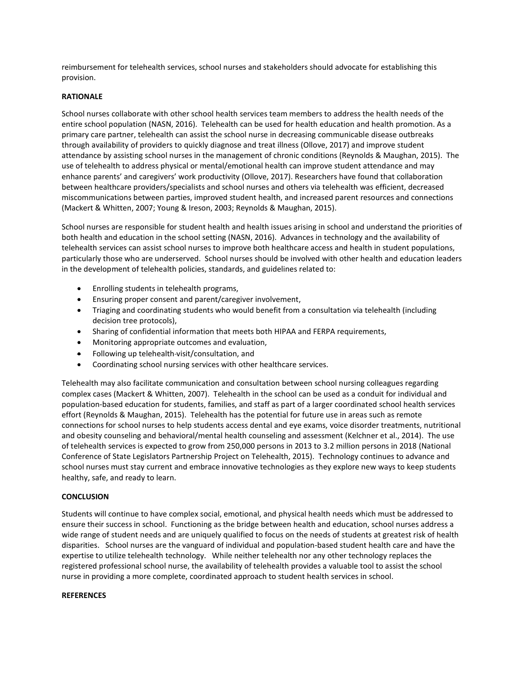reimbursement for telehealth services, school nurses and stakeholders should advocate for establishing this provision.

# RATIONALE

School nurses collaborate with other school health services team members to address the health needs of the entire school population (NASN, 2016). Telehealth can be used for health education and health promotion. As a primary care partner, telehealth can assist the school nurse in decreasing communicable disease outbreaks through availability of providers to quickly diagnose and treat illness (Ollove, 2017) and improve student attendance by assisting school nurses in the management of chronic conditions (Reynolds & Maughan, 2015). The use of telehealth to address physical or mental/emotional health can improve student attendance and may enhance parents' and caregivers' work productivity (Ollove, 2017). Researchers have found that collaboration between healthcare providers/specialists and school nurses and others via telehealth was efficient, decreased miscommunications between parties, improved student health, and increased parent resources and connections (Mackert & Whitten, 2007; Young & Ireson, 2003; Reynolds & Maughan, 2015).

School nurses are responsible for student health and health issues arising in school and understand the priorities of both health and education in the school setting (NASN, 2016). Advances in technology and the availability of telehealth services can assist school nurses to improve both healthcare access and health in student populations, particularly those who are underserved. School nurses should be involved with other health and education leaders in the development of telehealth policies, standards, and guidelines related to:

- Enrolling students in telehealth programs,
- Ensuring proper consent and parent/caregiver involvement,
- Triaging and coordinating students who would benefit from a consultation via telehealth (including decision tree protocols),
- Sharing of confidential information that meets both HIPAA and FERPA requirements,
- Monitoring appropriate outcomes and evaluation,
- Following up telehealth-visit/consultation, and
- Coordinating school nursing services with other healthcare services.

Telehealth may also facilitate communication and consultation between school nursing colleagues regarding complex cases (Mackert & Whitten, 2007). Telehealth in the school can be used as a conduit for individual and population-based education for students, families, and staff as part of a larger coordinated school health services effort (Reynolds & Maughan, 2015). Telehealth has the potential for future use in areas such as remote connections for school nurses to help students access dental and eye exams, voice disorder treatments, nutritional and obesity counseling and behavioral/mental health counseling and assessment (Kelchner et al., 2014). The use of telehealth services is expected to grow from 250,000 persons in 2013 to 3.2 million persons in 2018 (National Conference of State Legislators Partnership Project on Telehealth, 2015). Technology continues to advance and school nurses must stay current and embrace innovative technologies as they explore new ways to keep students healthy, safe, and ready to learn.

### **CONCLUSION**

Students will continue to have complex social, emotional, and physical health needs which must be addressed to ensure their success in school. Functioning as the bridge between health and education, school nurses address a wide range of student needs and are uniquely qualified to focus on the needs of students at greatest risk of health disparities. School nurses are the vanguard of individual and population-based student health care and have the expertise to utilize telehealth technology. While neither telehealth nor any other technology replaces the registered professional school nurse, the availability of telehealth provides a valuable tool to assist the school nurse in providing a more complete, coordinated approach to student health services in school.

### **REFERENCES**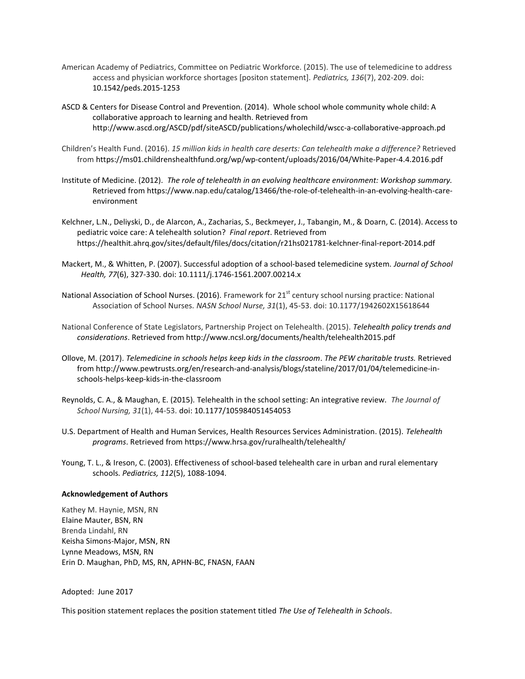- American Academy of Pediatrics, Committee on Pediatric Workforce. (2015). The use of telemedicine to address access and physician workforce shortages [positon statement]. Pediatrics, 136(7), 202-209. doi: 10.1542/peds.2015-1253
- ASCD & Centers for Disease Control and Prevention. (2014). Whole school whole community whole child: A collaborative approach to learning and health. Retrieved from http://www.ascd.org/ASCD/pdf/siteASCD/publications/wholechild/wscc-a-collaborative-approach.pd
- Children's Health Fund. (2016). 15 million kids in health care deserts: Can telehealth make a difference? Retrieved from https://ms01.childrenshealthfund.org/wp/wp-content/uploads/2016/04/White-Paper-4.4.2016.pdf
- Institute of Medicine. (2012). The role of telehealth in an evolving healthcare environment: Workshop summary. Retrieved from https://www.nap.edu/catalog/13466/the-role-of-telehealth-in-an-evolving-health-careenvironment
- Kelchner, L.N., Deliyski, D., de Alarcon, A., Zacharias, S., Beckmeyer, J., Tabangin, M., & Doarn, C. (2014). Access to pediatric voice care: A telehealth solution? Final report. Retrieved from https://healthit.ahrq.gov/sites/default/files/docs/citation/r21hs021781-kelchner-final-report-2014.pdf
- Mackert, M., & Whitten, P. (2007). Successful adoption of a school-based telemedicine system. Journal of School Health, 77(6), 327-330. doi: 10.1111/j.1746-1561.2007.00214.x
- National Association of School Nurses. (2016). Framework for 21<sup>st</sup> century school nursing practice: National Association of School Nurses. NASN School Nurse, 31(1), 45-53. doi: 10.1177/1942602X15618644
- National Conference of State Legislators, Partnership Project on Telehealth. (2015). Telehealth policy trends and considerations. Retrieved from http://www.ncsl.org/documents/health/telehealth2015.pdf
- Ollove, M. (2017). Telemedicine in schools helps keep kids in the classroom. The PEW charitable trusts. Retrieved from http://www.pewtrusts.org/en/research-and-analysis/blogs/stateline/2017/01/04/telemedicine-inschools-helps-keep-kids-in-the-classroom
- Reynolds, C. A., & Maughan, E. (2015). Telehealth in the school setting: An integrative review. The Journal of School Nursing, 31(1), 44-53. doi: 10.1177/105984051454053
- U.S. Department of Health and Human Services, Health Resources Services Administration. (2015). Telehealth programs. Retrieved from https://www.hrsa.gov/ruralhealth/telehealth/
- Young, T. L., & Ireson, C. (2003). Effectiveness of school-based telehealth care in urban and rural elementary schools. Pediatrics, 112(5), 1088-1094.

### Acknowledgement of Authors

Kathey M. Haynie, MSN, RN Elaine Mauter, BSN, RN Brenda Lindahl, RN Keisha Simons-Major, MSN, RN Lynne Meadows, MSN, RN Erin D. Maughan, PhD, MS, RN, APHN-BC, FNASN, FAAN

### Adopted: June 2017

This position statement replaces the position statement titled The Use of Telehealth in Schools.